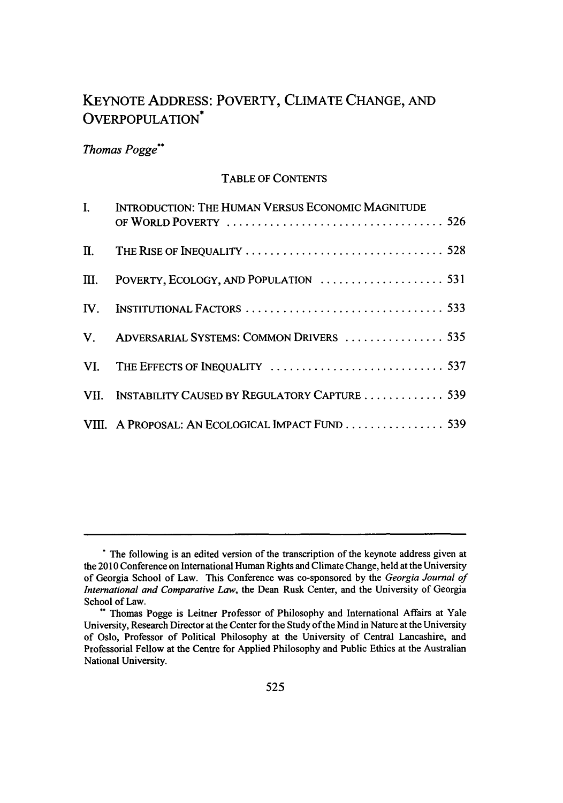# KEYNOTE ADDRESS: POVERTY, CLIMATE CHANGE, AND OVERPOPULATION<sup>\*</sup>

# *Thomas Pogge"*

## TABLE OF CONTENTS

| I. | INTRODUCTION: THE HUMAN VERSUS ECONOMIC MAGNITUDE  |
|----|----------------------------------------------------|
|    |                                                    |
|    |                                                    |
|    |                                                    |
|    | V. ADVERSARIAL SYSTEMS: COMMON DRIVERS  535        |
|    |                                                    |
|    | VII. INSTABILITY CAUSED BY REGULATORY CAPTURE  539 |
|    | VIII. A PROPOSAL: AN ECOLOGICAL IMPACT FUND 539    |

**<sup>\*</sup>** The following is an edited version of the transcription of the keynote address given at the 2010 Conference on International Human Rights and Climate Change, held at the University of Georgia School of Law. This Conference was co-sponsored by the Georgia Journal of International and Comparative *Law,* the Dean Rusk Center, and the University of Georgia School of Law.

<sup>&</sup>quot; Thomas Pogge is Leitner Professor of Philosophy and International Affairs at Yale University, Research Director at the Center for the Study of the Mind in Nature at the University of Oslo, Professor of Political Philosophy at the University of Central Lancashire, and Professorial Fellow at the Centre for Applied Philosophy and Public Ethics at the Australian National University.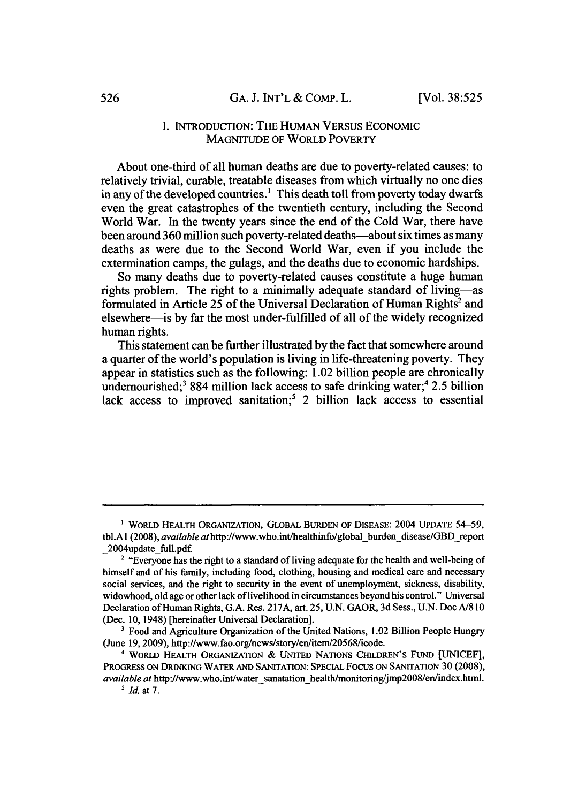## I. INTRODUCTION: THE HUMAN VERSUS ECONOMIC MAGNITUDE OF WORLD POVERTY

About one-third of all human deaths are due to poverty-related causes: to relatively trivial, curable, treatable diseases from which virtually no one dies in any of the developed countries.' This death toll from poverty today dwarfs even the great catastrophes of the twentieth century, including the Second World War. In the twenty years since the end of the Cold War, there have been around 360 million such poverty-related deaths-about six times as many deaths as were due to the Second World War, even if you include the extermination camps, the gulags, and the deaths due to economic hardships.

So many deaths due to poverty-related causes constitute a huge human rights problem. The right to a minimally adequate standard of living-as formulated in Article 25 of the Universal Declaration of Human Rights<sup>2</sup> and elsewhere-is by far the most under-fulfilled of all of the widely recognized human rights.

This statement can be further illustrated by the fact that somewhere around a quarter of the world's population is living in life-threatening poverty. They appear in statistics such as the following: 1.02 billion people are chronically undernourished;<sup>3</sup> 884 million lack access to safe drinking water;<sup>4</sup> 2.5 billion lack access to improved sanitation;<sup>5</sup> 2 billion lack access to essential

**I** WORLD HEALTH ORGANIZATION, GLOBAL BURDEN OF DISEASE: 2004 UPDATE 54-59, tbl.A1 (2008), *available at http://www.who.int/healthinfo/global-burdendisease/GBD* report 2004update full.pdf.

<sup>&</sup>lt;sup>2</sup> "Everyone has the right to a standard of living adequate for the health and well-being of himself and of his family, including food, clothing, housing and medical care and necessary social services, and the right to security in the event of unemployment, sickness, disability, widowhood, old age or other lack of livelihood in circumstances beyond his control." Universal Declaration of Human Rights, G.A. Res. 217A, art. 25, U.N. GAOR, 3d Sess., U.N. Doc **A/810** (Dec. 10, 1948) [hereinafter Universal Declaration].

<sup>&</sup>lt;sup>3</sup> Food and Agriculture Organization of the United Nations, 1.02 Billion People Hungry (June 19,2009), http://www.fao.org/news/story/en/item/20568/icode.

<sup>4</sup> WORLD HEALTH ORGANIZATION & UNITED NATIONS CHILDREN'S FUND [UNICEF], PROGRESS ON DRINKING WATER AND SANITATION: SPECIAL Focus ON SANITATION 30 (2008), *available at http://www.who.int/water-sanatation-health/monitoring/jmp2008/en/index.html. 5 Id.* at 7.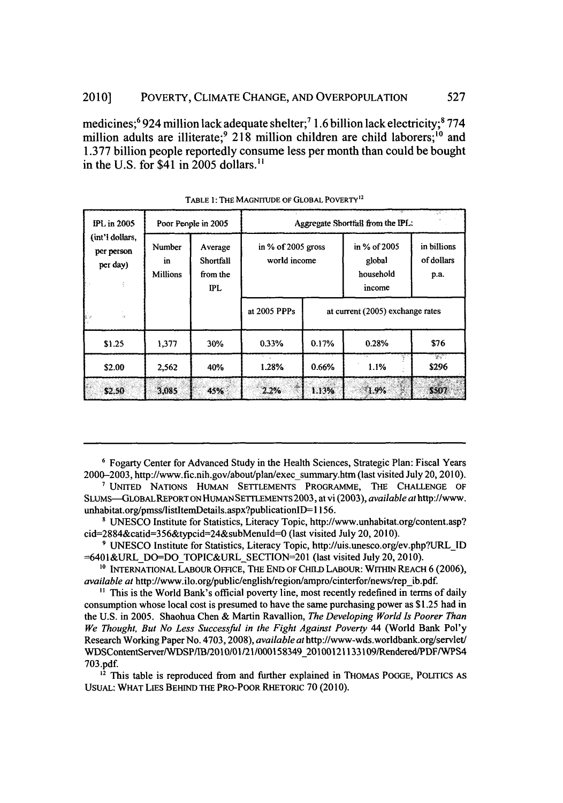medicines;<sup>6</sup> 924 million lack adequate shelter;<sup>7</sup> 1.6 billion lack electricity;<sup>8</sup> 774 million adults are illiterate;<sup>9</sup> 218 million children are child laborers;<sup>10</sup> and 1.377 billion people reportedly consume less per month than could be bought in the U.S. for \$41 in 2005 dollars.<sup>11</sup>

| <b>IPL</b> in 2005                        | Poor People in 2005             |                                                  | 77<br>Aggregate Shortfall from the IPL: |       |                                               |                                   |  |
|-------------------------------------------|---------------------------------|--------------------------------------------------|-----------------------------------------|-------|-----------------------------------------------|-----------------------------------|--|
| (int'l dollars,<br>per person<br>per day) | Number<br>in<br><b>Millions</b> | Average<br>Shortfall<br>from the<br>$_{\rm IPL}$ | in % of $2005$ gross<br>world income    |       | in % of 2005<br>global<br>household<br>income | in billions<br>of dollars<br>р.а. |  |
| ò.                                        |                                 |                                                  | at 2005 PPPs                            |       | at current (2005) exchange rates              |                                   |  |
| \$1.25                                    | 1,377                           | 30%                                              | 0.33%                                   | 0.17% | 0.28%                                         | \$76                              |  |
| \$2.00                                    | 2,562                           | 40%                                              | 1.28%                                   | 0.66% | 1.1%                                          | $\mathbb{Z}^n$<br>\$296           |  |
| \$2.50                                    | 3,085                           | 45%                                              | $\sim 12$<br>2.2%                       | 1.13% | $-1.9%$                                       | \$507                             |  |

TABLE 1: THE MAGNITUDE OF GLOBAL POVERTY<sup>12</sup>

**<sup>6</sup>**Fogarty Center for Advanced Study in the Health Sciences, Strategic Plan: Fiscal Years 2000-2003, http://www.fic.nih.gov/about/plan/exec summary.htm (last visited July 20,2010).

**'** UNITED NATIONS HuMAN SETTLEMENTS PROGRAMME, THE CHALLENGE OF SLUMS-GLOBALREPORTON HUMAN SETTLEMENTS 2003, at vi (2003), *available* athttp://www. unhabitat.org/pmss/listItemDetails.aspx?publicationID=1156.

<sup>8</sup> UNESCO Institute for Statistics, Literacy Topic, http://www.unhabitat.org/content.asp? cid=2884&catid=356&typcid=24&subMenud=0 (last visited July 20, 2010).

9 UNESCO Institute for Statistics, Literacy Topic, http://uis.unesco.org/ev.php?URLID  $=6401$ &URL DO=DO TOPIC&URL SECTION=201 (last visited July 20, 2010).

**10** INTERNATIONAL LABOUR OFFICE, THE END OF CHILD LABOUR: WITHIN REACH 6 (2006), *available at http://www.ilo.org/public/english/region/ampro/cinterfor/news/rep ib.pdf.* 

**"** This is the World Bank's official poverty line, most recently redefined in terms of daily consumption whose local cost is presumed to have the same purchasing power as \$1.25 had in the U.S. in 2005. Shaohua Chen & Martin Ravallion, *The Developing World Is Poorer Than We Thought, But No Less Successful in the Fight Against Poverty* 44 (World Bank Pol'y Research Working Paper No. 4703, 2008), *available at* http://www-wds.worldbank.org/servlet/ WDSContentServer/WDSPfIB/2010/01/21/000158349\_20100121133109/Rendered/PDF/WPS4 703.pdf.

<sup>12</sup> This table is reproduced from and further explained in THOMAS POGGE, POLITICS AS USUAL: WHAT LiES BEHIND THE PRO-POOR RHETORIC 70 (2010).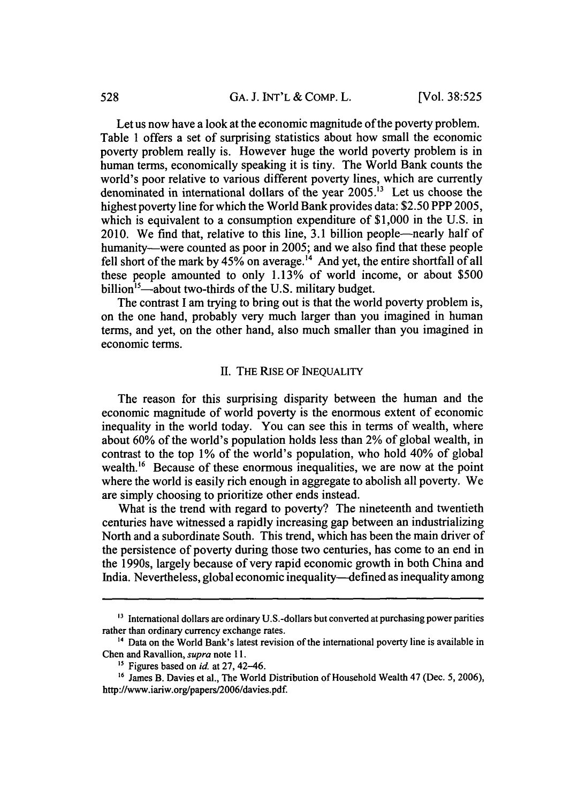Let us now have a look at the economic magnitude of the poverty problem. Table **I** offers a set of surprising statistics about how small the economic poverty problem really is. However huge the world poverty problem is in human terms, economically speaking it is tiny. The World Bank counts the world's poor relative to various different poverty lines, which are currently denominated in international dollars of the year 2005.13 Let us choose the highest poverty line for which the World Bank provides data: \$2.50 PPP 2005, which is equivalent to a consumption expenditure of \$1,000 in the U.S. in 2010. We find that, relative to this line, 3.1 billion people—nearly half of humanity—were counted as poor in 2005; and we also find that these people fell short of the mark by  $45\%$  on average.<sup>14</sup> And yet, the entire shortfall of all these people amounted to only **1.13%** of world income, or about \$500 billion<sup>15</sup>—about two-thirds of the U.S. military budget.

The contrast I am trying to bring out is that the world poverty problem is, on the one hand, probably very much larger than you imagined in human terms, and yet, on the other hand, also much smaller than you imagined in economic terms.

## **II.** THE RISE OF INEQUALITY

The reason for this surprising disparity between the human and the economic magnitude of world poverty is the enormous extent of economic inequality in the world today. You can see this in terms of wealth, where about 60% of the world's population holds less than 2% of global wealth, in contrast to the top **1%** of the world's population, who hold 40% of global wealth.<sup>16</sup> Because of these enormous inequalities, we are now at the point where the world is easily rich enough in aggregate to abolish all poverty. We are simply choosing to prioritize other ends instead.

What is the trend with regard to poverty? The nineteenth and twentieth centuries have witnessed a rapidly increasing gap between an industrializing North and a subordinate South. This trend, which has been the main driver of the persistence of poverty during those two centuries, has come to an end in the 1990s, largely because of very rapid economic growth in both China and India. Nevertheless, global economic inequality-defined as inequality among

**<sup>&#</sup>x27;3** International dollars are ordinary U.S.-dollars but converted at purchasing power parities rather than ordinary currency exchange rates.

**<sup>14</sup>** Data on the World Bank's latest revision of the international poverty line is available in Chen and Ravallion, *supra* note 11.

**<sup>&</sup>quot;** Figures based on *id.* at **27,** 42-46.

<sup>&</sup>lt;sup>16</sup> James B. Davies et al., The World Distribution of Household Wealth 47 (Dec. 5, 2006), http://www.iariw.org/papers/2006/davies.pdf.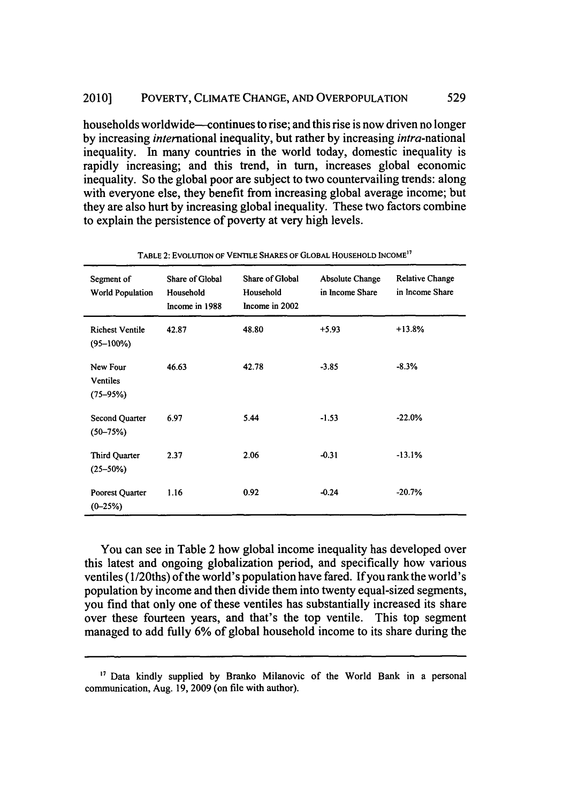households worldwide--continues to rise; and this rise is now driven no longer **by** increasing international inequality, but rather **by** increasing intra-national inequality. In many countries in the world today, domestic inequality is rapidly increasing; and this trend, in turn, increases global economic inequality. So the global poor are subject to two countervailing trends: along with everyone else, they benefit from increasing global average income; but they are also hurt **by** increasing global inequality. These two factors combine to explain the persistence of poverty at very high levels.

| Segment of<br>World Population              | Share of Global<br>Household<br>Income in 1988 | Share of Global<br>Household<br>Income in 2002 | Absolute Change<br>in Income Share | <b>Relative Change</b><br>in Income Share |
|---------------------------------------------|------------------------------------------------|------------------------------------------------|------------------------------------|-------------------------------------------|
| <b>Richest Ventile</b><br>$(95 - 100\%)$    | 42.87                                          | 48.80                                          | $+5.93$                            | +13.8%                                    |
| New Four<br><b>Ventiles</b><br>$(75 - 95%)$ | 46.63                                          | 42.78                                          | $-3.85$                            | $-8.3%$                                   |
| Second Quarter<br>$(50 - 75%)$              | 6.97                                           | 5.44                                           | $-1.53$                            | $-22.0%$                                  |
| Third Quarter<br>$(25 - 50\%)$              | 2.37                                           | 2.06                                           | $-0.31$                            | $-13.1%$                                  |
| Poorest Quarter<br>$(0-25%)$                | 1.16                                           | 0.92                                           | $-0.24$                            | $-20.7%$                                  |

TABLE 2: EVOLUTION OF VENTILE SHARES OF GLOBAL HOUSEHOLD INCOME<sup>17</sup>

You can see in Table 2 how global income inequality has developed over this latest and ongoing globalization period, and specifically how various ventiles (1/20ths) of the world's population have fared. If you rank the world's population by income and then divide them into twenty equal-sized segments, you find that only one of these ventiles has substantially increased its share over these fourteen years, and that's the top ventile. This top segment managed to add fully 6% of global household income to its share during the

**<sup>&</sup>quot;7** Data kindly supplied by Branko Milanovic of the World Bank in a personal communication, Aug. 19, 2009 (on file with author).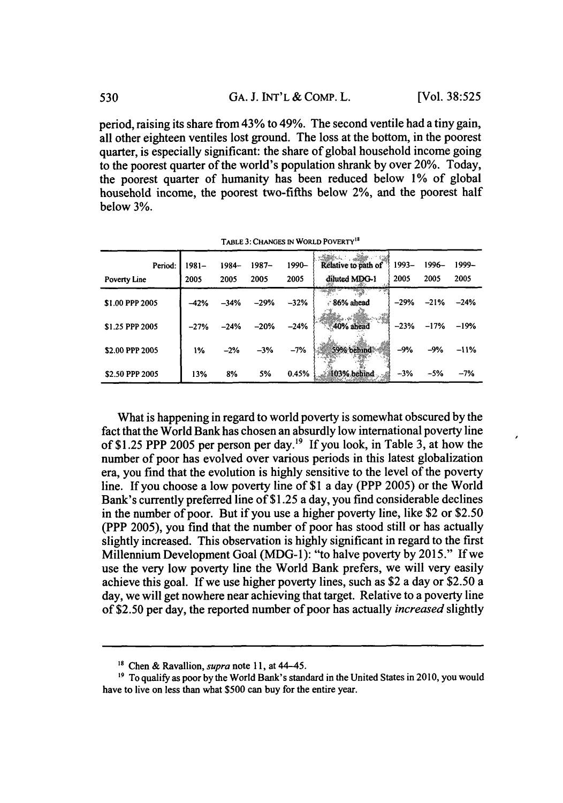period, raising its share from 43% to 49%. The second ventile had a tiny gain, all other eighteen ventiles lost ground. The loss at the bottom, in the poorest quarter, is especially significant; the share of global household income going to the poorest quarter of the world's population shrank **by** over 20%. Today, the poorest quarter of humanity has been reduced below **1%** of global household income, the poorest two-fifths below 2%, and the poorest half below **3%.**

| Period:<br><b>Poverty Line</b> | $1981 -$<br>2005 | $1984 -$<br>2005 | $1987 -$<br>2005 | 1990-<br>2005 | Relative to path of<br>diluted MDG-1 | 1993-<br>2005 | 1996–<br>2005 | 1999–<br>2005 |
|--------------------------------|------------------|------------------|------------------|---------------|--------------------------------------|---------------|---------------|---------------|
| \$1.00 PPP 2005                | $-42%$           | $-34%$           | $-29%$           | $-32%$        | 86% ahead                            | $-29%$        | $-21%$        | $-24%$        |
| \$1.25 PPP 2005                | $-27%$           | $-24%$           | $-20%$           | $-24%$        | 40% ahead                            | $-23%$        | $-17%$        | $-19%$        |
| \$2.00 PPP 2005                | 1%               | $-2%$            | $-3%$            | $-7%$         | 59% behind                           | $-9%$         | $-9%$         | $-11%$        |
| \$2.50 PPP 2005                | 13%              | 8%               | 5%               | 0.45%         | 103% behind                          | $-3%$         | $-5%$         | $-7%$         |

**TABLE 3:** CHANGEs **IN WORLD** POVERTY<sup>18</sup>

What is happening in regard to world poverty is somewhat obscured by the fact that the World Bank has chosen an absurdly low international poverty line of \$1.25 PPP 2005 per person per day.<sup>19</sup> If you look, in Table 3, at how the number of poor has evolved over various periods in this latest globalization era, you find that the evolution is highly sensitive to the level of the poverty line. If you choose a low poverty line of \$1 a day (PPP 2005) or the World Bank's currently preferred line of \$1.25 a day, you find considerable declines in the number of poor. But if you use a higher poverty line, like \$2 or \$2.50 (PPP 2005), you find that the number of poor has stood still or has actually slightly increased. This observation is highly significant in regard to the first Millennium Development Goal (MDG-1): "to halve poverty by 2015." If we use the very low poverty line the World Bank prefers, we will very easily achieve this goal. If we use higher poverty lines, such as \$2 a day or \$2.50 a day, we will get nowhere near achieving that target. Relative to a poverty line of \$2.50 per day, the reported number of poor has actually *increased* slightly

<sup>&</sup>lt;sup>18</sup> Chen & Ravallion, *supra* note 11, at 44-45.<br><sup>19</sup> To qualify as poor by the World Bank's standard in the United States in 2010, you would have to live on less than what \$500 can buy for the entire year.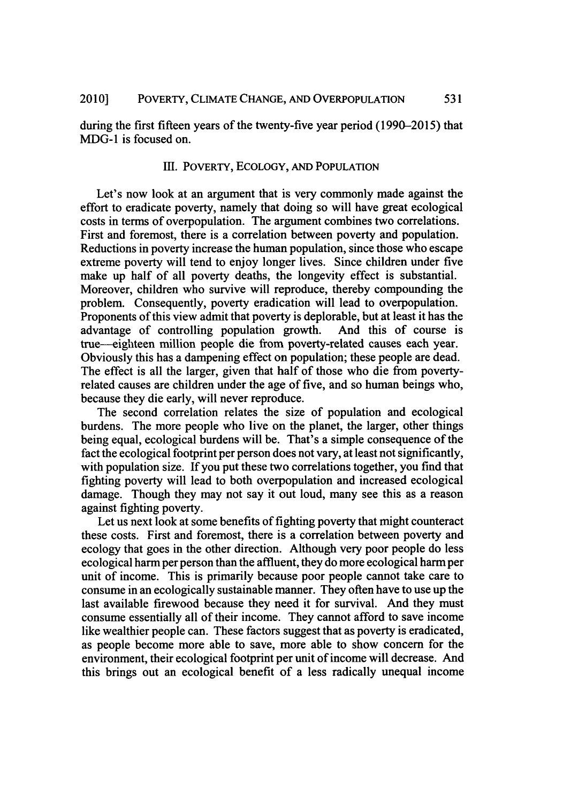during the first fifteen years of the twenty-five year period (1990-2015) that MDG-1 is focused on.

## III. POVERTY, ECOLOGY, AND POPULATION

Let's now look at an argument that is very commonly made against the effort to eradicate poverty, namely that doing so will have great ecological costs in terms of overpopulation. The argument combines two correlations. First and foremost, there is a correlation between poverty and population. Reductions in poverty increase the human population, since those who escape extreme poverty will tend to enjoy longer lives. Since children under five make up half of all poverty deaths, the longevity effect is substantial. Moreover, children who survive will reproduce, thereby compounding the problem. Consequently, poverty eradication will lead to overpopulation. Proponents of this view admit that poverty is deplorable, but at least it has the advantage of controlling population growth. And this of course is true--eighteen million people die from poverty-related causes each year. Obviously this has a dampening effect on population; these people are dead. The effect is all the larger, given that half of those who die from povertyrelated causes are children under the age of five, and so human beings who, because they die early, will never reproduce.

The second correlation relates the size of population and ecological burdens. The more people who live on the planet, the larger, other things being equal, ecological burdens will be. That's a simple consequence of the fact the ecological footprint per person does not vary, at least not significantly, with population size. If you put these two correlations together, you find that fighting poverty will lead to both overpopulation and increased ecological damage. Though they may not say it out loud, many see this as a reason against fighting poverty.

Let us next look at some benefits of fighting poverty that might counteract these costs. First and foremost, there is a correlation between poverty and ecology that goes in the other direction. Although very poor people do less ecological harm per person than the affluent, they do more ecological harm per unit of income. This is primarily because poor people cannot take care to consume in an ecologically sustainable manner. They often have to use up the last available firewood because they need it for survival. And they must consume essentially all of their income. They cannot afford to save income like wealthier people can. These factors suggest that as poverty is eradicated, as people become more able to save, more able to show concern for the environment, their ecological footprint per unit of income will decrease. And this brings out an ecological benefit of a less radically unequal income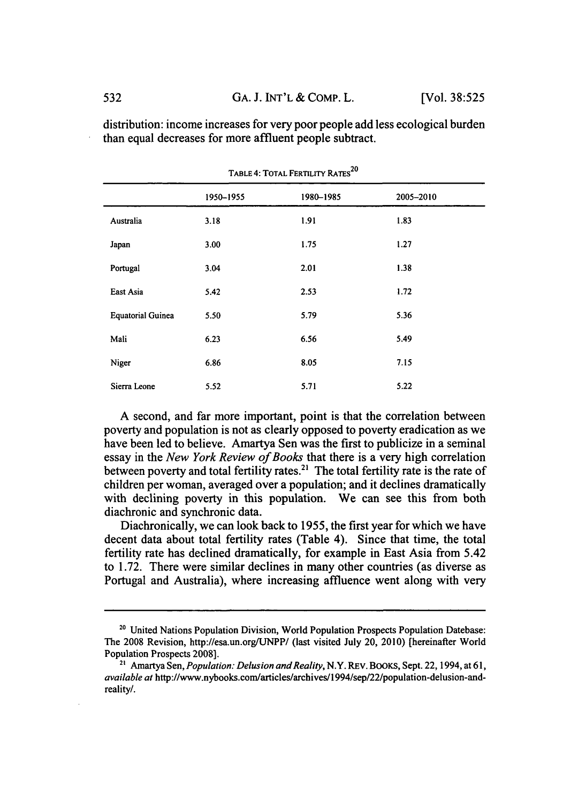| TABLE 4: TOTAL FERTILITY RATES <sup>20</sup> |           |           |           |  |  |  |  |
|----------------------------------------------|-----------|-----------|-----------|--|--|--|--|
|                                              | 1950-1955 | 1980-1985 | 2005-2010 |  |  |  |  |
| Australia                                    | 3.18      | 1.91      | 1.83      |  |  |  |  |
| Japan                                        | 3.00      | 1.75      | 1.27      |  |  |  |  |
| Portugal                                     | 3.04      | 2.01      | 1.38      |  |  |  |  |
| East Asia                                    | 5.42      | 2.53      | 1.72      |  |  |  |  |
| <b>Equatorial Guinea</b>                     | 5.50      | 5.79      | 5.36      |  |  |  |  |
| Mali                                         | 6.23      | 6.56      | 5.49      |  |  |  |  |
| Niger                                        | 6.86      | 8.05      | 7.15      |  |  |  |  |
| Sierra Leone                                 | 5.52      | 5.71      | 5.22      |  |  |  |  |

distribution: income increases for very poor people add less ecological burden than equal decreases for more affluent people subtract.

A second, and far more important, point is that the correlation between poverty and population is not as clearly opposed to poverty eradication as we have been led to believe. Amartya Sen was the first to publicize in a seminal essay in the *New York Review of Books* that there is a very high correlation between poverty and total fertility rates.<sup>21</sup> The total fertility rate is the rate of children per woman, averaged over a population; and it declines dramatically with declining poverty in this population. We can see this from both diachronic and synchronic data.

Diachronically, we can look back to 1955, the first year for which we have decent data about total fertility rates (Table 4). Since that time, the total fertility rate has declined dramatically, for example in East Asia from 5.42 to 1.72. There were similar declines in many other countries (as diverse as Portugal and Australia), where increasing affluence went along with very

<sup>&</sup>lt;sup>20</sup> United Nations Population Division, World Population Prospects Population Datebase: The 2008 Revision, http://esa.un.org/UNPP/ (last visited July 20, 2010) [hereinafter World Population Prospects 2008].

<sup>&</sup>lt;sup>21</sup> Amartya Sen, *Population: Delusion and Reality*, N.Y. REV. BOOKS, Sept. 22, 1994, at 61, *available at* http://www.nybooks.com/articles/archives/1 994/sep/22/population-delusion-andreality/.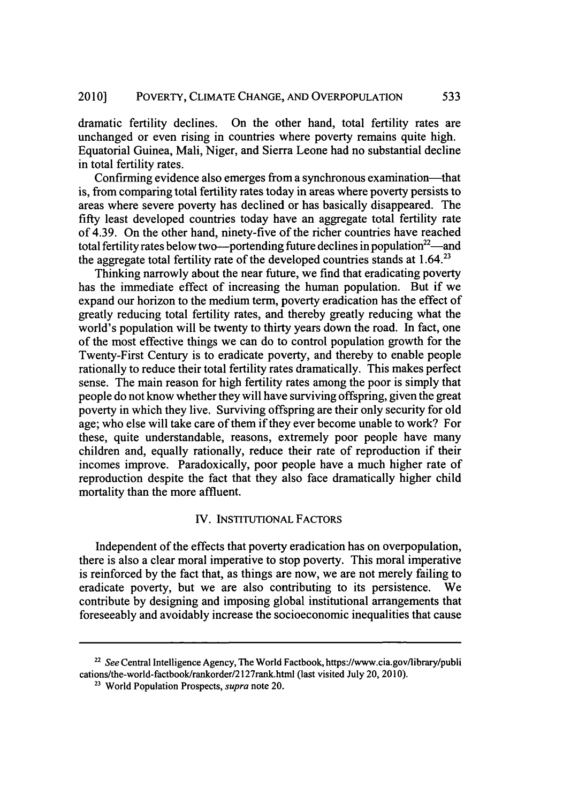dramatic fertility declines. On the other hand, total fertility rates are unchanged or even rising in countries where poverty remains quite high. Equatorial Guinea, Mali, Niger, and Sierra Leone had no substantial decline in total fertility rates.

Confirming evidence also emerges from a synchronous examination—that is, from comparing total fertility rates today in areas where poverty persists to areas where severe poverty has declined or has basically disappeared. The fifty least developed countries today have an aggregate total fertility rate of 4.39. On the other hand, ninety-five of the richer countries have reached total fertility rates below two-portending future declines in population<sup>22</sup> - and the aggregate total fertility rate of the developed countries stands at  $1.64$ <sup>23</sup>

Thinking narrowly about the near future, we find that eradicating poverty has the immediate effect of increasing the human population. But if we expand our horizon to the medium term, poverty eradication has the effect of greatly reducing total fertility rates, and thereby greatly reducing what the world's population will be twenty to thirty years down the road. In fact, one of the most effective things we can do to control population growth for the Twenty-First Century is to eradicate poverty, and thereby to enable people rationally to reduce their total fertility rates dramatically. This makes perfect sense. The main reason for high fertility rates among the poor is simply that people do not know whether they will have surviving offspring, given the great poverty in which they live. Surviving offspring are their only security for old age; who else will take care of them if they ever become unable to work? For these, quite understandable, reasons, extremely poor people have many children and, equally rationally, reduce their rate of reproduction if their incomes improve. Paradoxically, poor people have a much higher rate of reproduction despite the fact that they also face dramatically higher child mortality than the more affluent.

## IV. INSTITUTIONAL FACTORS

Independent of the effects that poverty eradication has on overpopulation, there is also a clear moral imperative to stop poverty. This moral imperative is reinforced by the fact that, as things are now, we are not merely failing to eradicate poverty, but we are also contributing to its persistence. We contribute by designing and imposing global institutional arrangements that foreseeably and avoidably increase the socioeconomic inequalities that cause

<sup>22</sup>*See* Central Intelligence Agency, The World Factbook, https://www.cia.gov/library/publi cations/the-world-factbook/rankorder/2127rank.html (last visited July 20, 2010).

<sup>23</sup> World Population Prospects, *supra* note 20.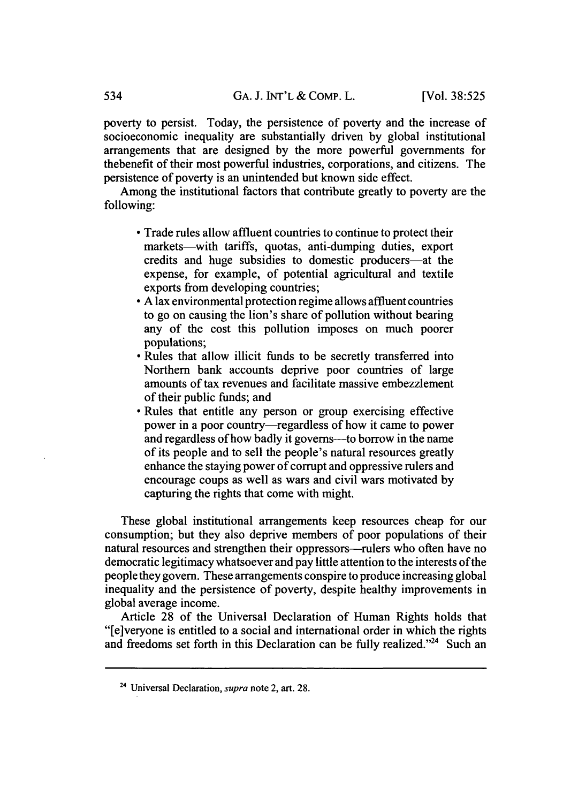poverty to persist. Today, the persistence of poverty and the increase of socioeconomic inequality are substantially driven by global institutional arrangements that are designed by the more powerful governments for thebenefit of their most powerful industries, corporations, and citizens. The persistence of poverty is an unintended but known side effect.

Among the institutional factors that contribute greatly to poverty are the following:

- **"** Trade rules allow affluent countries to continue to protect their markets-with tariffs, quotas, anti-dumping duties, export credits and huge subsidies to domestic producers-at the expense, for example, of potential agricultural and textile exports from developing countries;
- **"** A lax environmental protection regime allows affluent countries to go on causing the lion's share of pollution without bearing any of the cost this pollution imposes on much poorer populations;
- **"** Rules that allow illicit funds to be secretly transferred into Northern bank accounts deprive poor countries of large amounts of tax revenues and facilitate massive embezzlement of their public funds; and
- **"** Rules that entitle any person or group exercising effective power in a poor country-regardless of how it came to power and regardless of how badly it governs—to borrow in the name of its people and to sell the people's natural resources greatly enhance the staying power of corrupt and oppressive rulers and encourage coups as well as wars and civil wars motivated by capturing the rights that come with might.

These global institutional arrangements keep resources cheap for our consumption; but they also deprive members of poor populations of their natural resources and strengthen their oppressors—rulers who often have no democratic legitimacy whatsoever and pay little attention to the interests of the people they govern. These arrangements conspire to produce increasing global inequality and the persistence of poverty, despite healthy improvements in global average income.

Article 28 of the Universal Declaration of Human Rights holds that "[e]veryone is entitled to a social and international order in which the rights and freedoms set forth in this Declaration can be fully realized. $24$  Such an

**<sup>24</sup>** Universal Declaration, *supra* note 2, art. 28.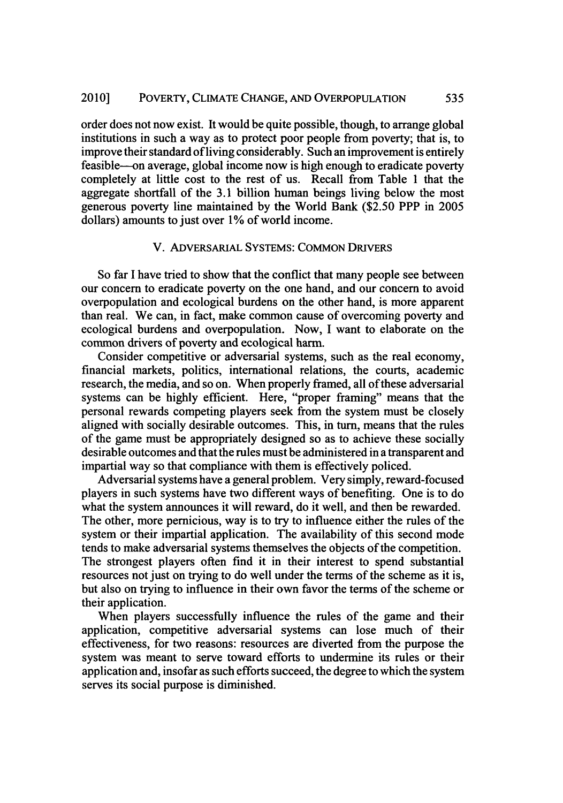order does not now exist. It would be quite possible, though, to arrange global institutions in such a way as to protect poor people from poverty; that is, to improve their standard of living considerably. Such an improvement is entirely feasible--on average, global income now is high enough to eradicate poverty completely at little cost to the rest of us. Recall from Table 1 that the aggregate shortfall of the 3.1 billion human beings living below the most generous poverty line maintained by the World Bank (\$2.50 PPP in 2005 dollars) amounts to just over 1% of world income.

## V. ADVERSARIAL SYSTEMS: COMMON DRIVERS

So far I have tried to show that the conflict that many people see between our concern to eradicate poverty on the one hand, and our concern to avoid overpopulation and ecological burdens on the other hand, is more apparent than real. We can, in fact, make common cause of overcoming poverty and ecological burdens and overpopulation. Now, I want to elaborate on the common drivers of poverty and ecological harm.

Consider competitive or adversarial systems, such as the real economy, financial markets, politics, international relations, the courts, academic research, the media, and so on. When properly framed, all of these adversarial systems can be highly efficient. Here, "proper framing" means that the personal rewards competing players seek from the system must be closely aligned with socially desirable outcomes. This, in turn, means that the rules of the game must be appropriately designed so as to achieve these socially desirable outcomes and that the rules must be administered in a transparent and impartial way so that compliance with them is effectively policed.

Adversarial systems have a general problem. Very simply, reward-focused players in such systems have two different ways of benefiting. One is to do what the system announces it will reward, do it well, and then be rewarded. The other, more pernicious, way is to try to influence either the rules of the system or their impartial application. The availability of this second mode tends to make adversarial systems themselves the objects of the competition. The strongest players often find it in their interest to spend substantial resources not just on trying to do well under the terms of the scheme as it is, but also on trying to influence in their own favor the terms of the scheme or their application.

When players successfully influence the rules of the game and their application, competitive adversarial systems can lose much of their effectiveness, for two reasons: resources are diverted from the purpose the system was meant to serve toward efforts to undermine its rules or their application and, insofar as such efforts succeed, the degree to which the system serves its social purpose is diminished.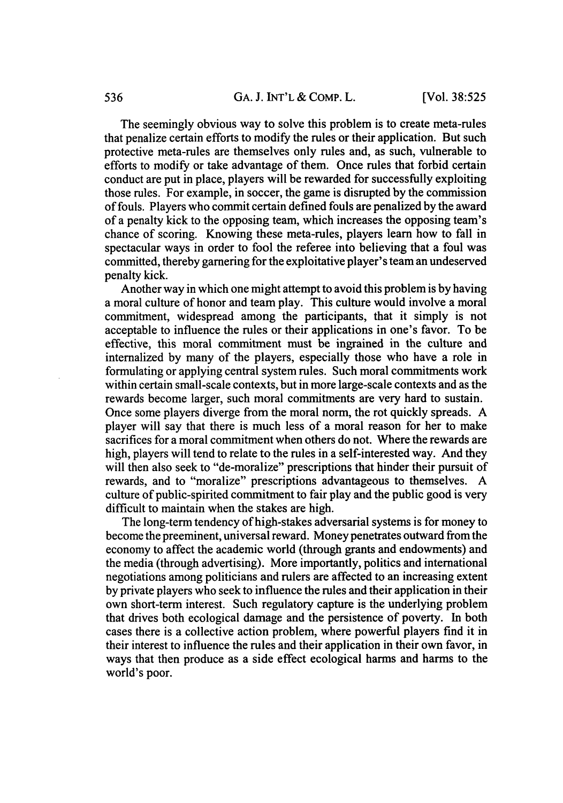The seemingly obvious way to solve this problem is to create meta-rules that penalize certain efforts to modify the rules or their application. But such protective meta-rules are themselves only rules and, as such, vulnerable to efforts to modify or take advantage of them. Once rules that forbid certain conduct are put in place, players will be rewarded for successfully exploiting those rules. For example, in soccer, the game is disrupted by the commission of fouls. Players who commit certain defined fouls are penalized by the award of a penalty kick to the opposing team, which increases the opposing team's chance of scoring. Knowing these meta-rules, players learn how to fall in spectacular ways in order to fool the referee into believing that a foul was committed, thereby garnering for the exploitative player's team an undeserved penalty kick.

Another way in which one might attempt to avoid this problem is by having a moral culture of honor and team play. This culture would involve a moral commitment, widespread among the participants, that it simply is not acceptable to influence the rules or their applications in one's favor. To be effective, this moral commitment must be ingrained in the culture and internalized by many of the players, especially those who have a role in formulating or applying central system rules. Such moral commitments work within certain small-scale contexts, but in more large-scale contexts and as the rewards become larger, such moral commitments are very hard to sustain. Once some players diverge from the moral norm, the rot quickly spreads. A player will say that there is much less of a moral reason for her to make sacrifices for a moral commitment when others do not. Where the rewards are high, players will tend to relate to the rules in a self-interested way. And they will then also seek to "de-moralize" prescriptions that hinder their pursuit of rewards, and to "moralize" prescriptions advantageous to themselves. A culture of public-spirited commitment to fair play and the public good is very difficult to maintain when the stakes are high.

The long-term tendency of high-stakes adversarial systems is for money to become the preeminent, universal reward. Money penetrates outward from the economy to affect the academic world (through grants and endowments) and the media (through advertising). More importantly, politics and international negotiations among politicians and rulers are affected to an increasing extent by private players who seek to influence the rules and their application in their own short-term interest. Such regulatory capture is the underlying problem that drives both ecological damage and the persistence of poverty. In both cases there is a collective action problem, where powerful players find it in their interest to influence the rules and their application in their own favor, in ways that then produce as a side effect ecological harms and harms to the world's poor.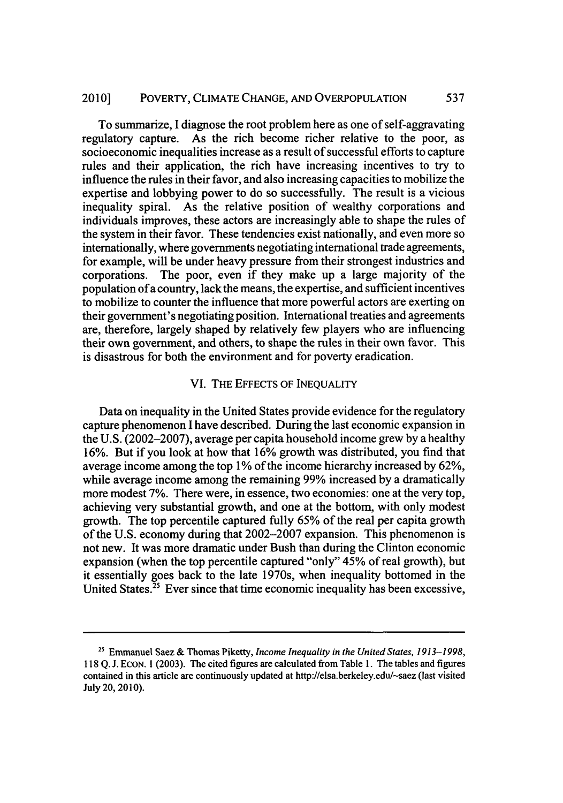#### 2010] POVERTY, CLIMATE CHANGE, AND OVERPOPULATION 537

To summarize, I diagnose the root problem here as one of self-aggravating regulatory capture. As the rich become richer relative to the poor, as socioeconomic inequalities increase as a result of successful efforts to capture rules and their application, the rich have increasing incentives to try to influence the rules in their favor, and also increasing capacities to mobilize the expertise and lobbying power to do so successfully. The result is a vicious inequality spiral. As the relative position of wealthy corporations and individuals improves, these actors are increasingly able to shape the rules of the system in their favor. These tendencies exist nationally, and even more so internationally, where governments negotiating international trade agreements, for example, will be under heavy pressure from their strongest industries and corporations. The poor, even if they make up a large majority of the population of a country, lack the means, the expertise, and sufficient incentives to mobilize to counter the influence that more powerful actors are exerting on their government's negotiating position. International treaties and agreements are, therefore, largely shaped by relatively few players who are influencing their own government, and others, to shape the rules in their own favor. This is disastrous for both the environment and for poverty eradication.

## VI. THE EFFECTS OF INEQUALITY

Data on inequality in the United States provide evidence for the regulatory capture phenomenon I have described. During the last economic expansion in the U.S. (2002-2007), average per capita household income grew by a healthy 16%. But if you look at how that 16% growth was distributed, you find that average income among the top 1% of the income hierarchy increased by 62%, while average income among the remaining 99% increased by a dramatically more modest 7%. There were, in essence, two economies: one at the very top, achieving very substantial growth, and one at the bottom, with only modest growth. The top percentile captured fully 65% of the real per capita growth of the U.S. economy during that 2002-2007 expansion. This phenomenon is not new. It was more dramatic under Bush than during the Clinton economic expansion (when the top percentile captured "only" 45% of real growth), but it essentially goes back to the late 1970s, when inequality bottomed in the United States. $25$  Ever since that time economic inequality has been excessive,

<sup>25</sup> Emmanuel Saez & Thomas Piketty, *Income Inequality in the United States, 1913-1998,* 118 Q. J. EcoN. 1 (2003). The cited figures are calculated from Table 1. The tables and figures contained in this article are continuously updated at http://elsa.berkeley.edu/-saez (last visited July 20, 2010).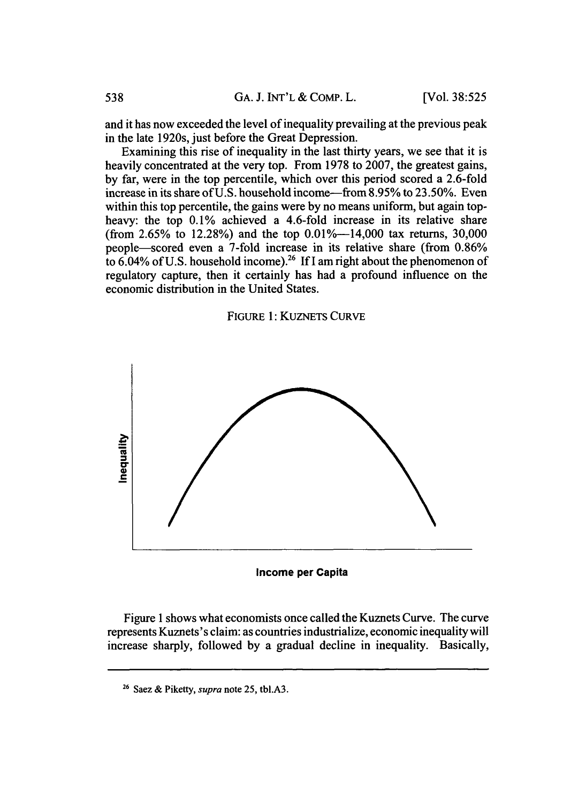and it has now exceeded the level of inequality prevailing at the previous peak in the late 1920s, just before the Great Depression.

Examining this rise of inequality in the last thirty years, we see that it is heavily concentrated at the very top. From 1978 to 2007, the greatest gains, by far, were in the top percentile, which over this period scored a 2.6-fold increase in its share of U.S. household income-from 8.95% to 23.50%. Even within this top percentile, the gains were by no means uniform, but again topheavy: the top 0.1% achieved a 4.6-fold increase in its relative share (from 2.65% to 12.28%) and the top  $0.01\%$ —14,000 tax returns, 30,000 people-scored even a 7-fold increase in its relative share (from 0.86% to  $6.04\%$  of U.S. household income).<sup>26</sup> If I am right about the phenomenon of regulatory capture, then it certainly has had a profound influence on the economic distribution in the United States.

### FIGURE 1: KUZNETS CURVE



**Income per Capita**

Figure 1 shows what economists once called the Kuznets Curve. The curve represents Kuznets's claim: as countries industrialize, economic inequality will increase sharply, followed by a gradual decline in inequality. Basically,

**<sup>26</sup>**Saez & Piketty, *supra* note 25, tbl.A3.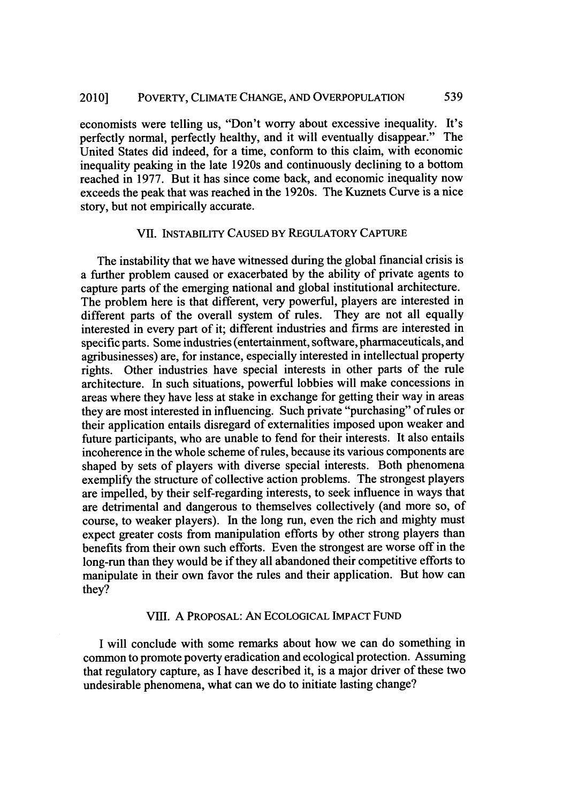economists were telling us, "Don't worry about excessive inequality. It's perfectly normal, perfectly healthy, and it will eventually disappear." The United States did indeed, for a time, conform to this claim, with economic inequality peaking in the late 1920s and continuously declining to a bottom reached in 1977. But it has since come back, and economic inequality now exceeds the peak that was reached in the 1920s. The Kuznets Curve is a nice story, but not empirically accurate.

#### VII. INSTABILITY **CAUSED** BY REGULATORY **CAPTURE**

The instability that we have witnessed during the global financial crisis is a further problem caused or exacerbated by the ability of private agents to capture parts of the emerging national and global institutional architecture. The problem here is that different, very powerful, players are interested in different parts of the overall system of rules. They are not all equally interested in every part of it; different industries and firms are interested in specific parts. Some industries (entertainment, software, pharmaceuticals, and agribusinesses) are, for instance, especially interested in intellectual property rights. Other industries have special interests in other parts of the rule architecture. In such situations, powerful lobbies will make concessions in areas where they have less at stake in exchange for getting their way in areas they are most interested in influencing. Such private "purchasing" of rules or their application entails disregard of externalities imposed upon weaker and future participants, who are unable to fend for their interests. It also entails incoherence in the whole scheme of rules, because its various components are shaped by sets of players with diverse special interests. Both phenomena exemplify the structure of collective action problems. The strongest players are impelled, by their self-regarding interests, to seek influence in ways that are detrimental and dangerous to themselves collectively (and more so, of course, to weaker players). In the long run, even the rich and mighty must expect greater costs from manipulation efforts by other strong players than benefits from their own such efforts. Even the strongest are worse off in the long-run than they would be if they all abandoned their competitive efforts to manipulate in their own favor the rules and their application. But how can they?

## VII. A PROPOSAL: AN **ECOLOGICAL** IMPACT FUND

I will conclude with some remarks about how we can do something in common to promote poverty eradication and ecological protection. Assuming that regulatory capture, as I have described it, is a major driver of these two undesirable phenomena, what can we do to initiate lasting change?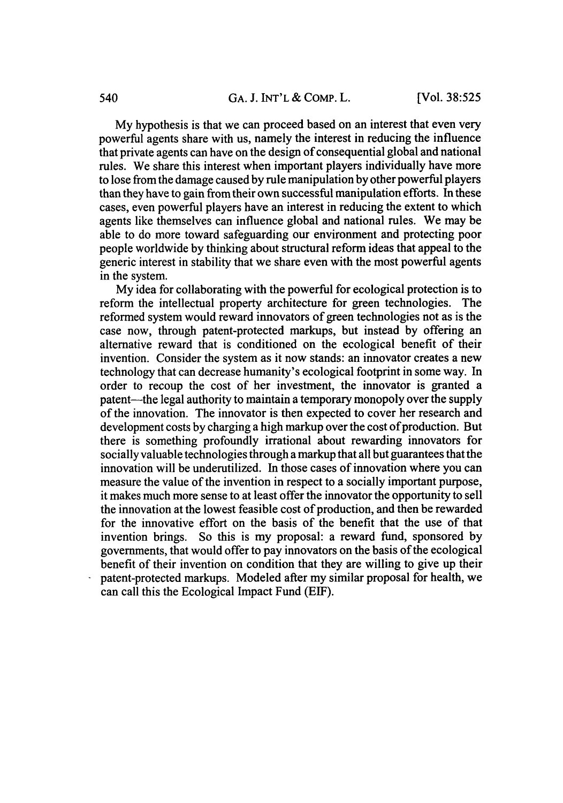My hypothesis is that we can proceed based on an interest that even very powerful agents share with us, namely the interest in reducing the influence that private agents can have on the design of consequential global and national rules. We share this interest when important players individually have more to lose from the damage caused by rule manipulation by other powerful players than they have to gain from their own successful manipulation efforts. In these cases, even powerful players have an interest in reducing the extent to which agents like themselves can influence global and national rules. We may be able to do more toward safeguarding our environment and protecting poor people worldwide by thinking about structural reform ideas that appeal to the generic interest in stability that we share even with the most powerful agents in the system.

My idea for collaborating with the powerful for ecological protection is to reform the intellectual property architecture for green technologies. The reformed system would reward innovators of green technologies not as is the case now, through patent-protected markups, but instead by offering an alternative reward that is conditioned on the ecological benefit of their invention. Consider the system as it now stands: an innovator creates a new technology that can decrease humanity's ecological footprint in some way. In order to recoup the cost of her investment, the innovator is granted a patent—the legal authority to maintain a temporary monopoly over the supply of the innovation. The innovator is then expected to cover her research and development costs by charging a high markup over the cost of production. But there is something profoundly irrational about rewarding innovators for socially valuable technologies through a markup that all but guarantees that the innovation will be underutilized. In those cases of innovation where you can measure the value of the invention in respect to a socially important purpose, it makes much more sense to at least offer the innovator the opportunity to sell the innovation at the lowest feasible cost of production, and then be rewarded for the innovative effort on the basis of the benefit that the use of that invention brings. So this is my proposal: a reward fund, sponsored by governments, that would offer to pay innovators on the basis of the ecological benefit of their invention on condition that they are willing to give up their patent-protected markups. Modeled after my similar proposal for health, we can call this the Ecological Impact Fund (ELF).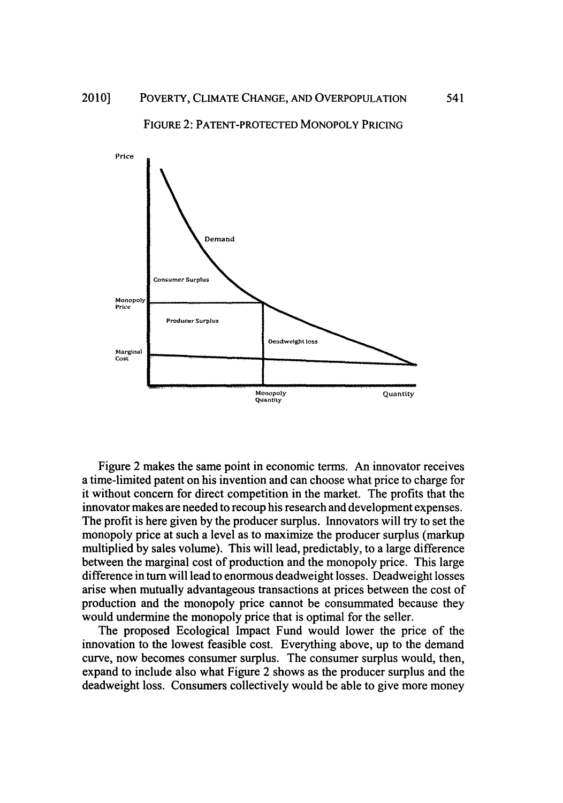

FIGURE 2: PATENT-PROTECTED MONOPOLY PRICING

Figure 2 makes the same point in economic terms. An innovator receives a time-limited patent on his invention and can choose what price to charge for it without concern for direct competition in the market. The profits that the innovator makes are needed to recoup his research and development expenses. The profit is here given by the producer surplus. Innovators will try to set the monopoly price at such a level as to maximize the producer surplus (markup multiplied by sales volume). This will lead, predictably, to a large difference between the marginal cost of production and the monopoly price. This large difference in turn will lead to enormous deadweight losses. Deadweight losses arise when mutually advantageous transactions at prices between the cost of production and the monopoly price cannot be consummated because they would undermine the monopoly price that is optimal for the seller.

The proposed Ecological Impact Fund would lower the price of the innovation to the lowest feasible cost. Everything above, up to the demand curve, now becomes consumer surplus. The consumer surplus would, then, expand to include also what Figure 2 shows as the producer surplus and the deadweight loss. Consumers collectively would be able to give more money